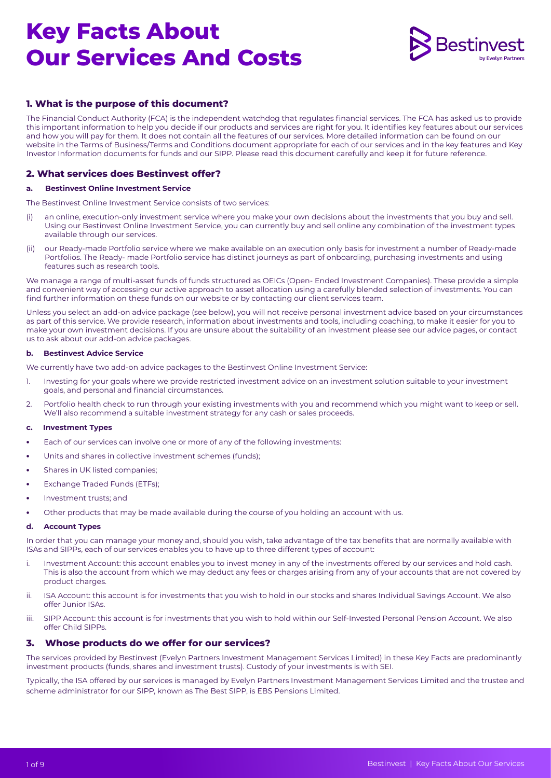

# **1. What is the purpose of this document?**

The Financial Conduct Authority (FCA) is the independent watchdog that regulates financial services. The FCA has asked us to provide this important information to help you decide if our products and services are right for you. It identifies key features about our services and how you will pay for them. It does not contain all the features of our services. More detailed information can be found on our website in the Terms of Business/Terms and Conditions document appropriate for each of our services and in the key features and Key Investor Information documents for funds and our SIPP. Please read this document carefully and keep it for future reference.

# **2. What services does Bestinvest offer?**

#### **a. Bestinvest Online Investment Service**

The Bestinvest Online Investment Service consists of two services:

- (i) an online, execution-only investment service where you make your own decisions about the investments that you buy and sell. Using our Bestinvest Online Investment Service, you can currently buy and sell online any combination of the investment types available through our services.
- (ii) our Ready-made Portfolio service where we make available on an execution only basis for investment a number of Ready-made Portfolios. The Ready- made Portfolio service has distinct journeys as part of onboarding, purchasing investments and using features such as research tools.

We manage a range of multi-asset funds of funds structured as OEICs (Open- Ended Investment Companies). These provide a simple and convenient way of accessing our active approach to asset allocation using a carefully blended selection of investments. You can find further information on these funds on our website or by contacting our client services team.

Unless you select an add-on advice package (see below), you will not receive personal investment advice based on your circumstances as part of this service. We provide research, information about investments and tools, including coaching, to make it easier for you to make your own investment decisions. If you are unsure about the suitability of an investment please see our advice pages, or contact us to ask about our add-on advice packages.

#### **b. Bestinvest Advice Service**

We currently have two add-on advice packages to the Bestinvest Online Investment Service:

- 1. Investing for your goals where we provide restricted investment advice on an investment solution suitable to your investment goals, and personal and financial circumstances.
- 2. Portfolio health check to run through your existing investments with you and recommend which you might want to keep or sell. We'll also recommend a suitable investment strategy for any cash or sales proceeds.

#### **c. Investment Types**

- **•** Each of our services can involve one or more of any of the following investments:
- **•** Units and shares in collective investment schemes (funds);
- **•** Shares in UK listed companies;
- **•** Exchange Traded Funds (ETFs);
- **•** Investment trusts; and
- **•** Other products that may be made available during the course of you holding an account with us.

#### **d. Account Types**

In order that you can manage your money and, should you wish, take advantage of the tax benefits that are normally available with ISAs and SIPPs, each of our services enables you to have up to three different types of account:

- i. Investment Account: this account enables you to invest money in any of the investments offered by our services and hold cash. This is also the account from which we may deduct any fees or charges arising from any of your accounts that are not covered by product charges.
- ii. ISA Account: this account is for investments that you wish to hold in our stocks and shares Individual Savings Account. We also offer Junior ISAs.
- iii. SIPP Account: this account is for investments that you wish to hold within our Self-Invested Personal Pension Account. We also offer Child SIPPs.

#### **3. Whose products do we offer for our services?**

The services provided by Bestinvest (Evelyn Partners Investment Management Services Limited) in these Key Facts are predominantly investment products (funds, shares and investment trusts). Custody of your investments is with SEI.

Typically, the ISA offered by our services is managed by Evelyn Partners Investment Management Services Limited and the trustee and scheme administrator for our SIPP, known as The Best SIPP, is EBS Pensions Limited.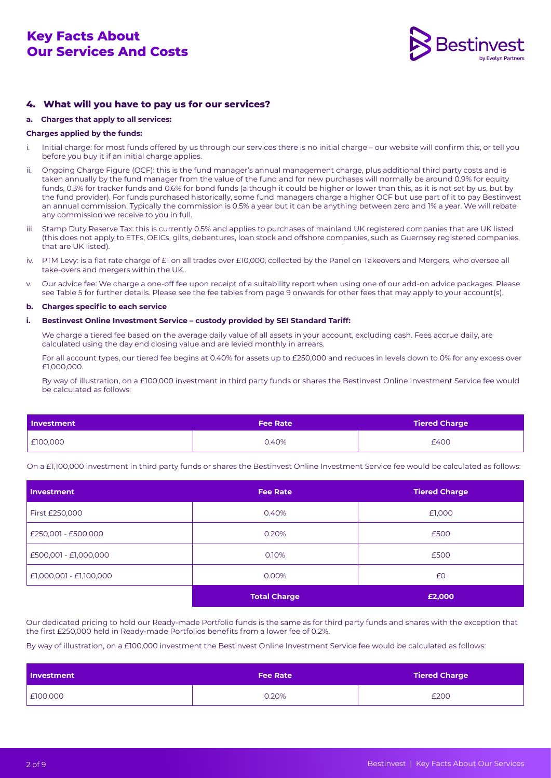

# **4. What will you have to pay us for our services?**

#### **a. Charges that apply to all services:**

#### **Charges applied by the funds:**

- i. Initial charge: for most funds offered by us through our services there is no initial charge our website will confirm this, or tell you before you buy it if an initial charge applies.
- ii. Ongoing Charge Figure (OCF): this is the fund manager's annual management charge, plus additional third party costs and is taken annually by the fund manager from the value of the fund and for new purchases will normally be around 0.9% for equity funds, 0.3% for tracker funds and 0.6% for bond funds (although it could be higher or lower than this, as it is not set by us, but by the fund provider). For funds purchased historically, some fund managers charge a higher OCF but use part of it to pay Bestinvest an annual commission. Typically the commission is 0.5% a year but it can be anything between zero and 1% a year. We will rebate any commission we receive to you in full.
- iii. Stamp Duty Reserve Tax: this is currently 0.5% and applies to purchases of mainland UK registered companies that are UK listed (this does not apply to ETFs, OEICs, gilts, debentures, loan stock and offshore companies, such as Guernsey registered companies, that are UK listed).
- iv. PTM Levy: is a flat rate charge of £1 on all trades over £10,000, collected by the Panel on Takeovers and Mergers, who oversee all take-overs and mergers within the UK..
- v. Our advice fee: We charge a one-off fee upon receipt of a suitability report when using one of our add-on advice packages. Please see Table 5 for further details. Please see the fee tables from page 9 onwards for other fees that may apply to your account(s).

#### **b. Charges specific to each service**

#### **i. Bestinvest Online Investment Service – custody provided by SEI Standard Tariff:**

 We charge a tiered fee based on the average daily value of all assets in your account, excluding cash. Fees accrue daily, are calculated using the day end closing value and are levied monthly in arrears.

For all account types, our tiered fee begins at 0.40% for assets up to £250,000 and reduces in levels down to 0% for any excess over £1,000,000.

By way of illustration, on a £100,000 investment in third party funds or shares the Bestinvest Online Investment Service fee would be calculated as follows:

| <b>Investment</b> | <b>Fee Rate</b> | Tiered Charge |  |
|-------------------|-----------------|---------------|--|
| £100,000          | 0.40%           | £400          |  |

On a £1,100,000 investment in third party funds or shares the Bestinvest Online Investment Service fee would be calculated as follows:

| Investment              | <b>Fee Rate</b>     | <b>Tiered Charge</b> |
|-------------------------|---------------------|----------------------|
| First £250,000          | 0.40%               | £1,000               |
| £250,001 - £500,000     | 0.20%               | £500                 |
| £500,001 - £1,000,000   | 0.10%               | £500                 |
| £1,000,001 - £1,100,000 | 0.00%               | £0                   |
|                         | <b>Total Charge</b> | £2,000               |

Our dedicated pricing to hold our Ready-made Portfolio funds is the same as for third party funds and shares with the exception that the first £250,000 held in Ready-made Portfolios benefits from a lower fee of 0.2%.

By way of illustration, on a £100,000 investment the Bestinvest Online Investment Service fee would be calculated as follows:

| Investment | <b>Fee Rate</b> | <b>Tiered Charge</b> |
|------------|-----------------|----------------------|
| £100,000   | 0.20%           | £200                 |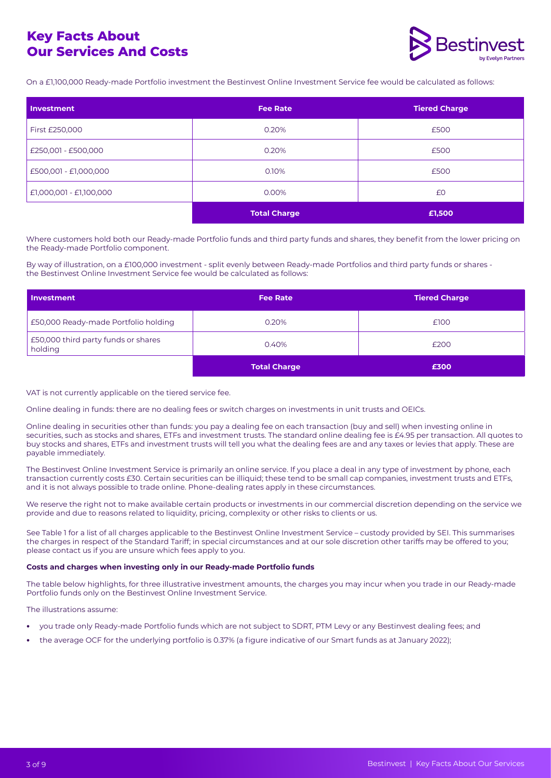

On a £1,100,000 Ready-made Portfolio investment the Bestinvest Online Investment Service fee would be calculated as follows:

| Investment              | <b>Fee Rate</b>     | <b>Tiered Charge</b> |
|-------------------------|---------------------|----------------------|
| First £250,000          | 0.20%               | £500                 |
| £250,001 - £500,000     | 0.20%               | £500                 |
| £500,001 - £1,000,000   | 0.10%               | £500                 |
| £1,000,001 - £1,100,000 | 0.00%               | £0                   |
|                         | <b>Total Charge</b> | £1,500               |

Where customers hold both our Ready-made Portfolio funds and third party funds and shares, they benefit from the lower pricing on the Ready-made Portfolio component.

By way of illustration, on a £100,000 investment - split evenly between Ready-made Portfolios and third party funds or shares the Bestinvest Online Investment Service fee would be calculated as follows:

| <b>I</b> Investment                            | <b>Fee Rate</b>     | <b>Tiered Charge</b> |
|------------------------------------------------|---------------------|----------------------|
| £50,000 Ready-made Portfolio holding           | 0.20%               | £100                 |
| £50,000 third party funds or shares<br>holding | 0.40%               | £200                 |
|                                                | <b>Total Charge</b> | £300                 |

#### VAT is not currently applicable on the tiered service fee.

Online dealing in funds: there are no dealing fees or switch charges on investments in unit trusts and OEICs.

Online dealing in securities other than funds: you pay a dealing fee on each transaction (buy and sell) when investing online in securities, such as stocks and shares, ETFs and investment trusts. The standard online dealing fee is £4.95 per transaction. All quotes to buy stocks and shares, ETFs and investment trusts will tell you what the dealing fees are and any taxes or levies that apply. These are payable immediately.

The Bestinvest Online Investment Service is primarily an online service. If you place a deal in any type of investment by phone, each transaction currently costs £30. Certain securities can be illiquid; these tend to be small cap companies, investment trusts and ETFs, and it is not always possible to trade online. Phone-dealing rates apply in these circumstances.

We reserve the right not to make available certain products or investments in our commercial discretion depending on the service we provide and due to reasons related to liquidity, pricing, complexity or other risks to clients or us.

See Table 1 for a list of all charges applicable to the Bestinvest Online Investment Service – custody provided by SEI. This summarises the charges in respect of the Standard Tariff; in special circumstances and at our sole discretion other tariffs may be offered to you; please contact us if you are unsure which fees apply to you.

#### **Costs and charges when investing only in our Ready-made Portfolio funds**

The table below highlights, for three illustrative investment amounts, the charges you may incur when you trade in our Ready-made Portfolio funds only on the Bestinvest Online Investment Service.

The illustrations assume:

- **•** you trade only Ready-made Portfolio funds which are not subject to SDRT, PTM Levy or any Bestinvest dealing fees; and
- **•** the average OCF for the underlying portfolio is 0.37% (a figure indicative of our Smart funds as at January 2022);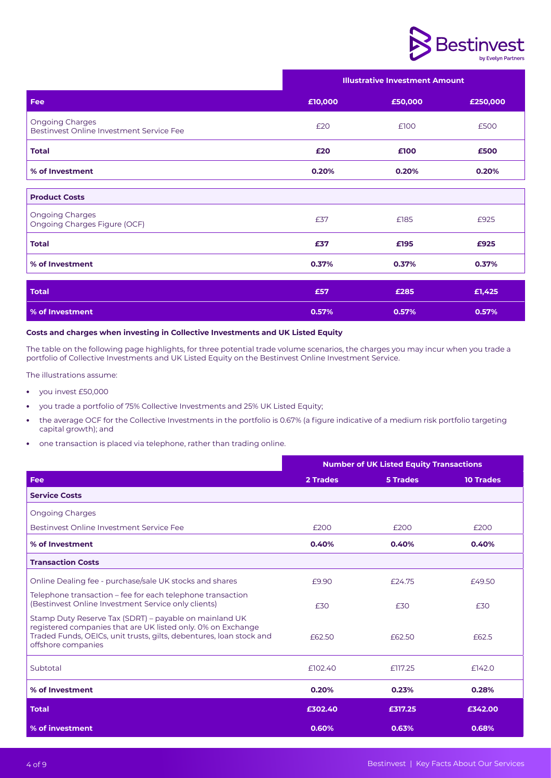

|                                                             | <b>Illustrative Investment Amount</b> |         |          |
|-------------------------------------------------------------|---------------------------------------|---------|----------|
| Fee                                                         | £10,000                               | £50,000 | £250,000 |
| Ongoing Charges<br>Bestinvest Online Investment Service Fee | £20                                   | £100    | £500     |
| <b>Total</b>                                                | £20                                   | £100    | £500     |
| % of Investment                                             | 0.20%                                 | 0.20%   | 0.20%    |
| <b>Product Costs</b>                                        |                                       |         |          |
| <b>Ongoing Charges</b><br>Ongoing Charges Figure (OCF)      | £37                                   | £185    | £925     |
| <b>Total</b>                                                | £37                                   | £195    | £925     |
| % of Investment                                             | 0.37%                                 | 0.37%   | 0.37%    |
| <b>Total</b>                                                | £57                                   | £285    | £1,425   |
| % of Investment                                             | 0.57%                                 | 0.57%   | 0.57%    |

#### **Costs and charges when investing in Collective Investments and UK Listed Equity**

The table on the following page highlights, for three potential trade volume scenarios, the charges you may incur when you trade a portfolio of Collective Investments and UK Listed Equity on the Bestinvest Online Investment Service.

The illustrations assume:

- **•** you invest £50,000
- **•** you trade a portfolio of 75% Collective Investments and 25% UK Listed Equity;
- **•** the average OCF for the Collective Investments in the portfolio is 0.67% (a figure indicative of a medium risk portfolio targeting capital growth); and
- **•** one transaction is placed via telephone, rather than trading online.

|                                                                                                                                                                                                                     | <b>Number of UK Listed Equity Transactions</b> |          |                  |
|---------------------------------------------------------------------------------------------------------------------------------------------------------------------------------------------------------------------|------------------------------------------------|----------|------------------|
| <b>Fee</b>                                                                                                                                                                                                          | 2 Trades                                       | 5 Trades | <b>10 Trades</b> |
| <b>Service Costs</b>                                                                                                                                                                                                |                                                |          |                  |
| <b>Ongoing Charges</b>                                                                                                                                                                                              |                                                |          |                  |
| Bestinvest Online Investment Service Fee                                                                                                                                                                            | £200                                           | £200     | £200             |
| % of Investment                                                                                                                                                                                                     | 0.40%                                          | 0.40%    | 0.40%            |
| <b>Transaction Costs</b>                                                                                                                                                                                            |                                                |          |                  |
| Online Dealing fee - purchase/sale UK stocks and shares                                                                                                                                                             | £9.90                                          | £24.75   | £49.50           |
| Telephone transaction – fee for each telephone transaction<br>(Bestinvest Online Investment Service only clients)                                                                                                   | £30                                            | £30      | £30              |
| Stamp Duty Reserve Tax (SDRT) – payable on mainland UK<br>registered companies that are UK listed only. 0% on Exchange<br>Traded Funds, OEICs, unit trusts, gilts, debentures, Ioan stock and<br>offshore companies | £62.50                                         | £62.50   | £62.5            |
| Subtotal                                                                                                                                                                                                            | £102.40                                        | £117.25  | £142.0           |
| % of Investment                                                                                                                                                                                                     | 0.20%                                          | 0.23%    | 0.28%            |
| <b>Total</b>                                                                                                                                                                                                        | £302.40                                        | £317.25  | £342.00          |
| % of investment                                                                                                                                                                                                     | 0.60%                                          | 0.63%    | 0.68%            |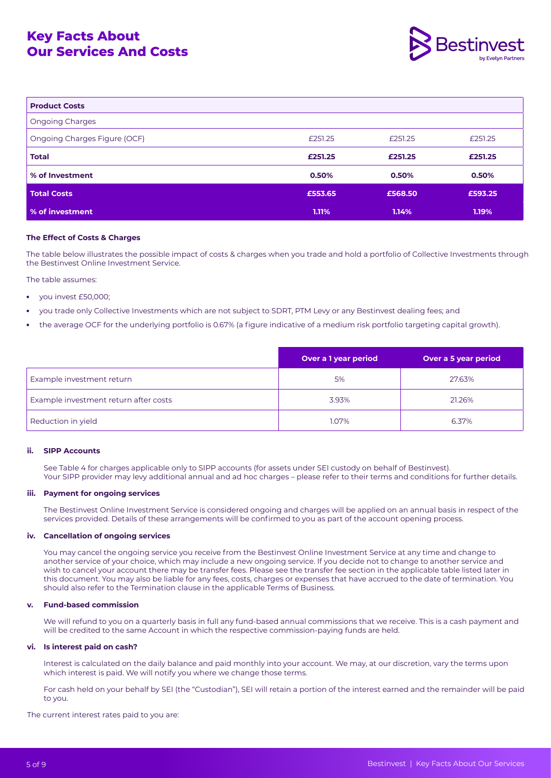

| <b>Product Costs</b>         |         |         |         |
|------------------------------|---------|---------|---------|
| <b>Ongoing Charges</b>       |         |         |         |
| Ongoing Charges Figure (OCF) | £251.25 | £251.25 | £251.25 |
| <b>Total</b>                 | £251.25 | £251.25 | £251.25 |
| % of Investment              | 0.50%   | 0.50%   | 0.50%   |
| <b>Total Costs</b>           | £553.65 | £568.50 | £593.25 |
| % of investment              | 1.11%   | 1.14%   | 1.19%   |

#### **The Effect of Costs & Charges**

The table below illustrates the possible impact of costs & charges when you trade and hold a portfolio of Collective Investments through the Bestinvest Online Investment Service.

The table assumes:

- **•** you invest £50,000;
- **•** you trade only Collective Investments which are not subject to SDRT, PTM Levy or any Bestinvest dealing fees; and
- **•** the average OCF for the underlying portfolio is 0.67% (a figure indicative of a medium risk portfolio targeting capital growth).

|                                       | Over a 1 year period | Over a 5 year period |
|---------------------------------------|----------------------|----------------------|
| Example investment return             | 5%                   | 27.63%               |
| Example investment return after costs | 3.93%                | 21.26%               |
| Reduction in yield                    | 1.07%                | 6.37%                |

#### **ii. SIPP Accounts**

See Table 4 for charges applicable only to SIPP accounts (for assets under SEI custody on behalf of Bestinvest). Your SIPP provider may levy additional annual and ad hoc charges – please refer to their terms and conditions for further details.

#### **iii. Payment for ongoing services**

The Bestinvest Online Investment Service is considered ongoing and charges will be applied on an annual basis in respect of the services provided. Details of these arrangements will be confirmed to you as part of the account opening process.

#### **iv. Cancellation of ongoing services**

You may cancel the ongoing service you receive from the Bestinvest Online Investment Service at any time and change to another service of your choice, which may include a new ongoing service. If you decide not to change to another service and wish to cancel your account there may be transfer fees. Please see the transfer fee section in the applicable table listed later in this document. You may also be liable for any fees, costs, charges or expenses that have accrued to the date of termination. You should also refer to the Termination clause in the applicable Terms of Business.

#### **v. Fund-based commission**

We will refund to you on a quarterly basis in full any fund-based annual commissions that we receive. This is a cash payment and will be credited to the same Account in which the respective commission-paying funds are held.

#### **vi. Is interest paid on cash?**

Interest is calculated on the daily balance and paid monthly into your account. We may, at our discretion, vary the terms upon which interest is paid. We will notify you where we change those terms.

For cash held on your behalf by SEI (the "Custodian"), SEI will retain a portion of the interest earned and the remainder will be paid to you.

The current interest rates paid to you are: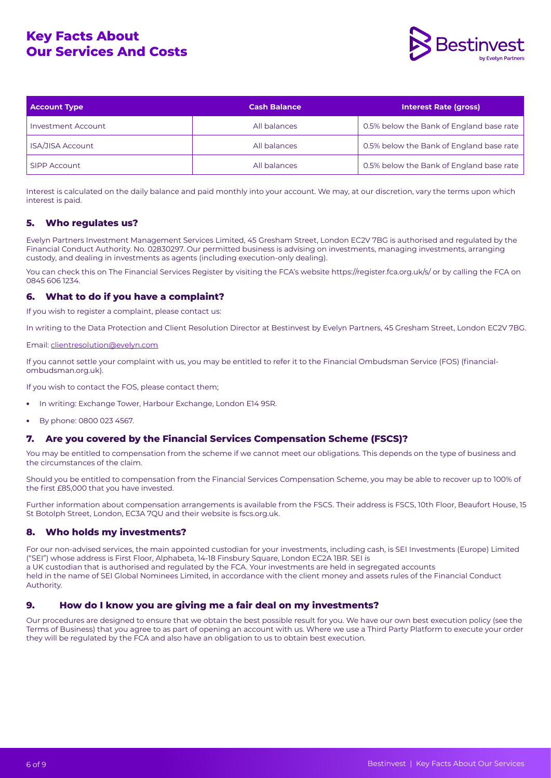

| <b>Account Type</b>     | <b>Cash Balance</b> | <b>Interest Rate (gross)</b>             |
|-------------------------|---------------------|------------------------------------------|
| Investment Account      | All balances        | 0.5% below the Bank of England base rate |
| <b>ISA/JISA Account</b> | All balances        | 0.5% below the Bank of England base rate |
| SIPP Account            | All balances        | 0.5% below the Bank of England base rate |

Interest is calculated on the daily balance and paid monthly into your account. We may, at our discretion, vary the terms upon which interest is paid.

# **5. Who regulates us?**

Evelyn Partners Investment Management Services Limited, 45 Gresham Street, London EC2V 7BG is authorised and regulated by the Financial Conduct Authority. No. 02830297. Our permitted business is advising on investments, managing investments, arranging custody, and dealing in investments as agents (including execution-only dealing).

You can check this on The Financial Services Register by visiting the FCA's website https://register.fca.org.uk/s/ or by calling the FCA on 0845 606 1234.

# **6. What to do if you have a complaint?**

If you wish to register a complaint, please contact us:

In writing to the Data Protection and Client Resolution Director at Bestinvest by Evelyn Partners, 45 Gresham Street, London EC2V 7BG.

#### Email: [clientresolution@evelyn.com](http://clientresolution@evelyn.com)

If you cannot settle your complaint with us, you may be entitled to refer it to the Financial Ombudsman Service (FOS) (financialombudsman.org.uk).

If you wish to contact the FOS, please contact them;

- **•** In writing: Exchange Tower, Harbour Exchange, London E14 9SR.
- **•** By phone: 0800 023 4567.

# **7. Are you covered by the Financial Services Compensation Scheme (FSCS)?**

You may be entitled to compensation from the scheme if we cannot meet our obligations. This depends on the type of business and the circumstances of the claim.

Should you be entitled to compensation from the Financial Services Compensation Scheme, you may be able to recover up to 100% of the first £85,000 that you have invested.

Further information about compensation arrangements is available from the FSCS. Their address is FSCS, 10th Floor, Beaufort House, 15 St Botolph Street, London, EC3A 7QU and their website is fscs.org.uk.

# **8. Who holds my investments?**

For our non-advised services, the main appointed custodian for your investments, including cash, is SEI Investments (Europe) Limited ("SEI") whose address is First Floor, Alphabeta, 14-18 Finsbury Square, London EC2A 1BR. SEI is a UK custodian that is authorised and regulated by the FCA. Your investments are held in segregated accounts held in the name of SEI Global Nominees Limited, in accordance with the client money and assets rules of the Financial Conduct Authority.

# **9. How do I know you are giving me a fair deal on my investments?**

Our procedures are designed to ensure that we obtain the best possible result for you. We have our own best execution policy (see the Terms of Business) that you agree to as part of opening an account with us. Where we use a Third Party Platform to execute your order they will be regulated by the FCA and also have an obligation to us to obtain best execution.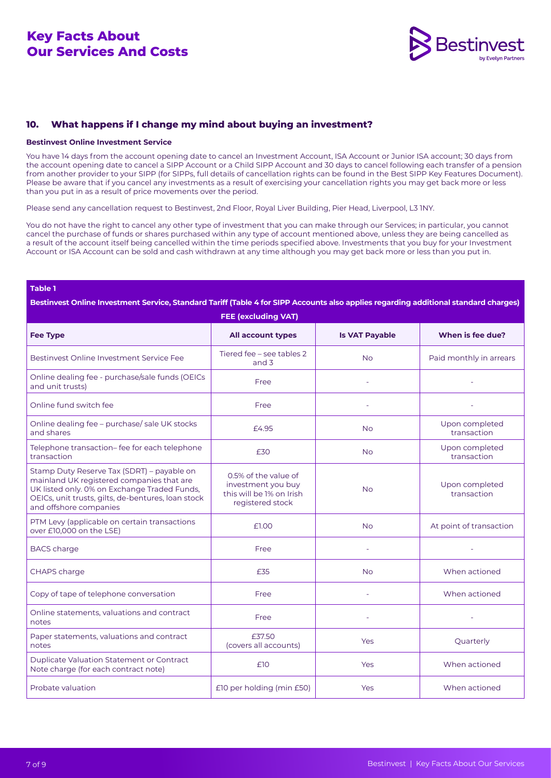

# **10. What happens if I change my mind about buying an investment?**

#### **Bestinvest Online Investment Service**

You have 14 days from the account opening date to cancel an Investment Account, ISA Account or Junior ISA account; 30 days from the account opening date to cancel a SIPP Account or a Child SIPP Account and 30 days to cancel following each transfer of a pension from another provider to your SIPP (for SIPPs, full details of cancellation rights can be found in the Best SIPP Key Features Document). Please be aware that if you cancel any investments as a result of exercising your cancellation rights you may get back more or less than you put in as a result of price movements over the period.

Please send any cancellation request to Bestinvest, 2nd Floor, Royal Liver Building, Pier Head, Liverpool, L3 1NY.

You do not have the right to cancel any other type of investment that you can make through our Services; in particular, you cannot cancel the purchase of funds or shares purchased within any type of account mentioned above, unless they are being cancelled as a result of the account itself being cancelled within the time periods specified above. Investments that you buy for your Investment Account or ISA Account can be sold and cash withdrawn at any time although you may get back more or less than you put in.

#### **Table 1**

**Bestinvest Online Investment Service, Standard Tariff (Table 4 for SIPP Accounts also applies regarding additional standard charges)**

| <b>FEE (excluding VAT)</b>                                                                                                                                                                                              |                                                                                            |                       |                               |  |
|-------------------------------------------------------------------------------------------------------------------------------------------------------------------------------------------------------------------------|--------------------------------------------------------------------------------------------|-----------------------|-------------------------------|--|
| <b>Fee Type</b>                                                                                                                                                                                                         | All account types                                                                          | <b>Is VAT Payable</b> | When is fee due?              |  |
| Bestinvest Online Investment Service Fee                                                                                                                                                                                | Tiered fee - see tables 2<br>and $3$                                                       | <b>No</b>             | Paid monthly in arrears       |  |
| Online dealing fee - purchase/sale funds (OEICs<br>and unit trusts)                                                                                                                                                     | Free                                                                                       |                       |                               |  |
| Online fund switch fee                                                                                                                                                                                                  | Free                                                                                       |                       |                               |  |
| Online dealing fee - purchase/ sale UK stocks<br>and shares                                                                                                                                                             | £4.95                                                                                      | <b>No</b>             | Upon completed<br>transaction |  |
| Telephone transaction-fee for each telephone<br>transaction                                                                                                                                                             | £30                                                                                        | <b>No</b>             | Upon completed<br>transaction |  |
| Stamp Duty Reserve Tax (SDRT) - payable on<br>mainland UK registered companies that are<br>UK listed only. 0% on Exchange Traded Funds,<br>OEICs, unit trusts, gilts, de-bentures, loan stock<br>and offshore companies | 0.5% of the value of<br>investment you buy<br>this will be 1% on Irish<br>registered stock | <b>No</b>             | Upon completed<br>transaction |  |
| PTM Levy (applicable on certain transactions<br>over £10,000 on the LSE)                                                                                                                                                | £1.00                                                                                      | <b>No</b>             | At point of transaction       |  |
| <b>BACS</b> charge                                                                                                                                                                                                      | Free                                                                                       |                       |                               |  |
| CHAPS charge                                                                                                                                                                                                            | £35                                                                                        | <b>No</b>             | When actioned                 |  |
| Copy of tape of telephone conversation                                                                                                                                                                                  | Free                                                                                       |                       | When actioned                 |  |
| Online statements, valuations and contract<br>notes                                                                                                                                                                     | Free                                                                                       |                       |                               |  |
| Paper statements, valuations and contract<br>notes                                                                                                                                                                      | £37.50<br>(covers all accounts)                                                            | <b>Yes</b>            | Quarterly                     |  |
| Duplicate Valuation Statement or Contract<br>Note charge (for each contract note)                                                                                                                                       | £10                                                                                        | Yes                   | When actioned                 |  |
| Probate valuation                                                                                                                                                                                                       | £10 per holding (min £50)                                                                  | Yes                   | When actioned                 |  |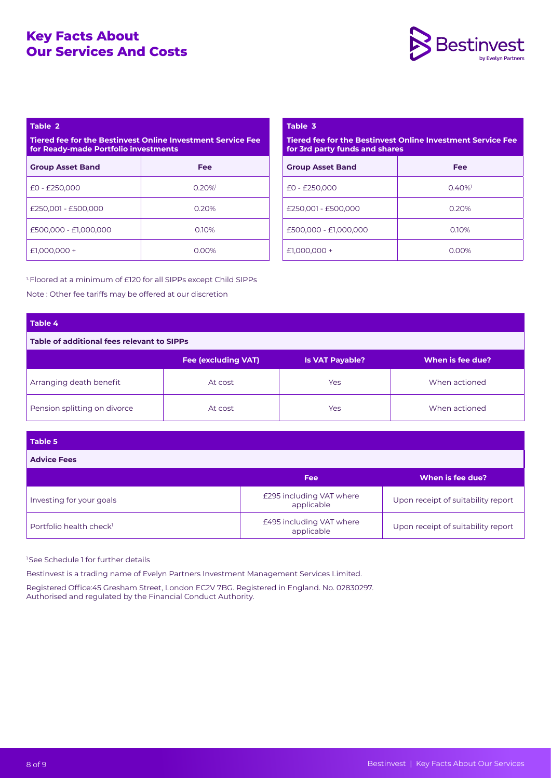

### **Table 2**

**Tiered fee for the Bestinvest Online Investment Service Fee for Ready-made Portfolio investments**

| <b>Group Asset Band</b> | <b>Fee</b> |
|-------------------------|------------|
| $E0 - E250,000$         | $0.20\%$   |
| £250,001 - £500,000     | 0.20%      |
| £500,000 - £1,000,000   | 0.10%      |
| $£1,000,000 +$          | $0.00\%$   |

| Table 3                                                                                       |            |  |  |  |
|-----------------------------------------------------------------------------------------------|------------|--|--|--|
| Tiered fee for the Bestinvest Online Investment Service Fee<br>for 3rd party funds and shares |            |  |  |  |
| <b>Group Asset Band</b>                                                                       | <b>Fee</b> |  |  |  |
| $E0 - E250.000$                                                                               | $0.40\%$   |  |  |  |
| £250.001 - £500.000                                                                           | 0.20%      |  |  |  |
| £500.000 - £1.000.000                                                                         | 0.10%      |  |  |  |
| $£1,000,000+$                                                                                 | റ ററ‰      |  |  |  |

<sup>1.</sup> Floored at a minimum of £120 for all SIPPs except Child SIPPs Note : Other fee tariffs may be offered at our discretion

# **Table 4**

**Table of additional fees relevant to SIPPs**

|                              | <b>Fee (excluding VAT)</b> | <b>Is VAT Payable?</b> | When is fee due? |
|------------------------------|----------------------------|------------------------|------------------|
| Arranging death benefit      | At cost                    | Yes                    | When actioned    |
| Pension splitting on divorce | At cost                    | Yes                    | When actioned    |

### **Table 5**

**Advice Fees**

|                                     | Fee                                    | When is fee due?                   |
|-------------------------------------|----------------------------------------|------------------------------------|
| Investing for your goals            | £295 including VAT where<br>applicable | Upon receipt of suitability report |
| Portfolio health check <sup>1</sup> | £495 including VAT where<br>applicable | Upon receipt of suitability report |

<sup>1</sup>See Schedule 1 for further details

Bestinvest is a trading name of Evelyn Partners Investment Management Services Limited.

Registered Office:45 Gresham Street, London EC2V 7BG. Registered in England. No. 02830297. Authorised and regulated by the Financial Conduct Authority.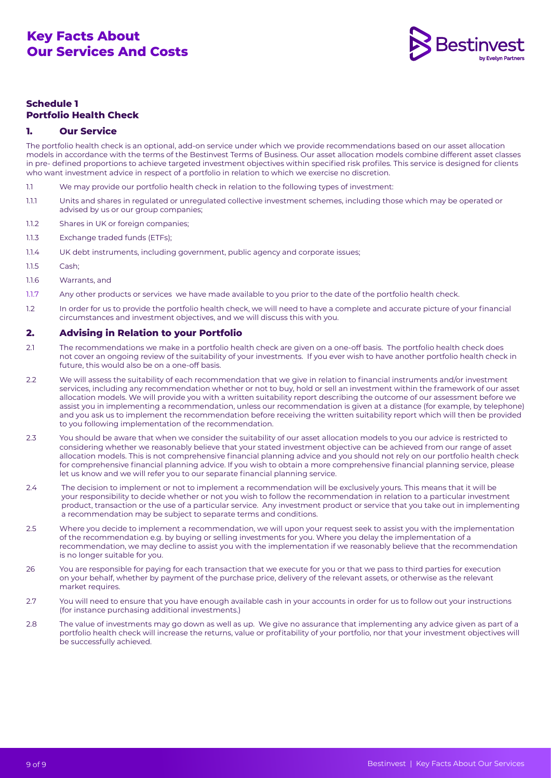

# **Schedule 1 Portfolio Health Check**

# **1. Our Service**

The portfolio health check is an optional, add-on service under which we provide recommendations based on our asset allocation models in accordance with the terms of the Bestinvest Terms of Business. Our asset allocation models combine different asset classes in pre- defined proportions to achieve targeted investment objectives within specified risk profiles. This service is designed for clients who want investment advice in respect of a portfolio in relation to which we exercise no discretion.

- 1.1 We may provide our portfolio health check in relation to the following types of investment:
- 1.1.1 Units and shares in regulated or unregulated collective investment schemes, including those which may be operated or advised by us or our group companies;
- 1.1.2 Shares in UK or foreign companies;
- 1.1.3 Exchange traded funds (ETFs);
- 1.1.4 UK debt instruments, including government, public agency and corporate issues;
- 1.1.5 Cash;
- 1.1.6 Warrants, and
- 1.1.7 Any other products or services we have made available to you prior to the date of the portfolio health check.
- 1.2 In order for us to provide the portfolio health check, we will need to have a complete and accurate picture of your financial circumstances and investment objectives, and we will discuss this with you.

# **2. Advising in Relation to your Portfolio**

- 2.1 The recommendations we make in a portfolio health check are given on a one-off basis. The portfolio health check does not cover an ongoing review of the suitability of your investments. If you ever wish to have another portfolio health check in future, this would also be on a one-off basis.
- 2.2 We will assess the suitability of each recommendation that we give in relation to financial instruments and/or investment services, including any recommendation whether or not to buy, hold or sell an investment within the framework of our asset allocation models. We will provide you with a written suitability report describing the outcome of our assessment before we assist you in implementing a recommendation, unless our recommendation is given at a distance (for example, by telephone) and you ask us to implement the recommendation before receiving the written suitability report which will then be provided to you following implementation of the recommendation.
- 2.3 You should be aware that when we consider the suitability of our asset allocation models to you our advice is restricted to considering whether we reasonably believe that your stated investment objective can be achieved from our range of asset allocation models. This is not comprehensive financial planning advice and you should not rely on our portfolio health check for comprehensive financial planning advice. If you wish to obtain a more comprehensive financial planning service, please let us know and we will refer you to our separate financial planning service.
- 2.4 The decision to implement or not to implement a recommendation will be exclusively yours. This means that it will be your responsibility to decide whether or not you wish to follow the recommendation in relation to a particular investment product, transaction or the use of a particular service. Any investment product or service that you take out in implementing a recommendation may be subject to separate terms and conditions.
- 2.5 Where you decide to implement a recommendation, we will upon your request seek to assist you with the implementation of the recommendation e.g. by buying or selling investments for you. Where you delay the implementation of a recommendation, we may decline to assist you with the implementation if we reasonably believe that the recommendation is no longer suitable for you.
- 26 You are responsible for paying for each transaction that we execute for you or that we pass to third parties for execution on your behalf, whether by payment of the purchase price, delivery of the relevant assets, or otherwise as the relevant market requires.
- 2.7 You will need to ensure that you have enough available cash in your accounts in order for us to follow out your instructions (for instance purchasing additional investments.)
- 2.8 The value of investments may go down as well as up. We give no assurance that implementing any advice given as part of a portfolio health check will increase the returns, value or profitability of your portfolio, nor that your investment objectives will be successfully achieved.